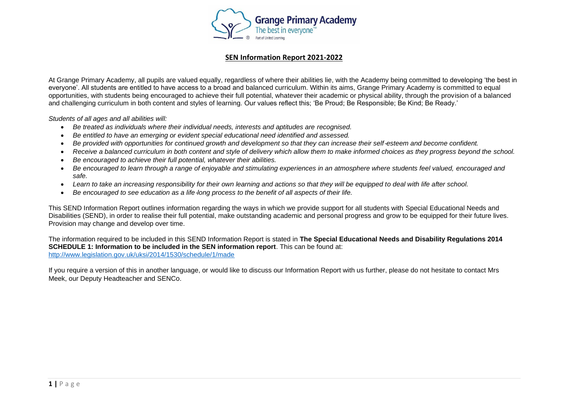

At Grange Primary Academy, all pupils are valued equally, regardless of where their abilities lie, with the Academy being committed to developing 'the best in everyone'. All students are entitled to have access to a broad and balanced curriculum. Within its aims, Grange Primary Academy is committed to equal opportunities, with students being encouraged to achieve their full potential, whatever their academic or physical ability, through the provision of a balanced and challenging curriculum in both content and styles of learning. Our values reflect this; 'Be Proud; Be Responsible; Be Kind; Be Ready.'

*Students of all ages and all abilities will:*

- *Be treated as individuals where their individual needs, interests and aptitudes are recognised.*
- *Be entitled to have an emerging or evident special educational need identified and assessed.*
- *Be provided with opportunities for continued growth and development so that they can increase their self-esteem and become confident.*
- *Receive a balanced curriculum in both content and style of delivery which allow them to make informed choices as they progress beyond the school.*
- *Be encouraged to achieve their full potential, whatever their abilities.*
- *Be encouraged to learn through a range of enjoyable and stimulating experiences in an atmosphere where students feel valued, encouraged and safe.*
- *Learn to take an increasing responsibility for their own learning and actions so that they will be equipped to deal with life after school.*
- *Be encouraged to see education as a life*‐*long process to the benefit of all aspects of their life.*

This SEND Information Report outlines information regarding the ways in which we provide support for all students with Special Educational Needs and Disabilities (SEND), in order to realise their full potential, make outstanding academic and personal progress and grow to be equipped for their future lives. Provision may change and develop over time.

The information required to be included in this SEND Information Report is stated in **The Special Educational Needs and Disability Regulations 2014 SCHEDULE 1: Information to be included in the SEN information report**. This can be found at: <http://www.legislation.gov.uk/uksi/2014/1530/schedule/1/made>

If you require a version of this in another language, or would like to discuss our Information Report with us further, please do not hesitate to contact Mrs Meek, our Deputy Headteacher and SENCo.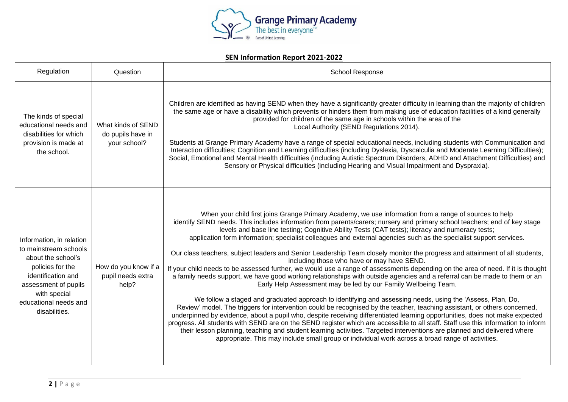

| Regulation                                                                                                                                                                                          | Question                                                | <b>School Response</b>                                                                                                                                                                                                                                                                                                                                                                                                                                                                                                                                                                                                                                                                                                                                                                                                                                                                                                                                                                                                                                                                                                                                                                                                                                                                                                                                                                                                                                                                                                                                                                                                                                                                                                    |
|-----------------------------------------------------------------------------------------------------------------------------------------------------------------------------------------------------|---------------------------------------------------------|---------------------------------------------------------------------------------------------------------------------------------------------------------------------------------------------------------------------------------------------------------------------------------------------------------------------------------------------------------------------------------------------------------------------------------------------------------------------------------------------------------------------------------------------------------------------------------------------------------------------------------------------------------------------------------------------------------------------------------------------------------------------------------------------------------------------------------------------------------------------------------------------------------------------------------------------------------------------------------------------------------------------------------------------------------------------------------------------------------------------------------------------------------------------------------------------------------------------------------------------------------------------------------------------------------------------------------------------------------------------------------------------------------------------------------------------------------------------------------------------------------------------------------------------------------------------------------------------------------------------------------------------------------------------------------------------------------------------------|
| The kinds of special<br>educational needs and<br>disabilities for which<br>provision is made at<br>the school.                                                                                      | What kinds of SEND<br>do pupils have in<br>your school? | Children are identified as having SEND when they have a significantly greater difficulty in learning than the majority of children<br>the same age or have a disability which prevents or hinders them from making use of education facilities of a kind generally<br>provided for children of the same age in schools within the area of the<br>Local Authority (SEND Regulations 2014).<br>Students at Grange Primary Academy have a range of special educational needs, including students with Communication and<br>Interaction difficulties; Cognition and Learning difficulties (including Dyslexia, Dyscalculia and Moderate Learning Difficulties);<br>Social, Emotional and Mental Health difficulties (including Autistic Spectrum Disorders, ADHD and Attachment Difficulties) and<br>Sensory or Physical difficulties (including Hearing and Visual Impairment and Dyspraxia).                                                                                                                                                                                                                                                                                                                                                                                                                                                                                                                                                                                                                                                                                                                                                                                                                                |
| Information, in relation<br>to mainstream schools<br>about the school's<br>policies for the<br>identification and<br>assessment of pupils<br>with special<br>educational needs and<br>disabilities. | How do you know if a<br>pupil needs extra<br>help?      | When your child first joins Grange Primary Academy, we use information from a range of sources to help<br>identify SEND needs. This includes information from parents/carers; nursery and primary school teachers; end of key stage<br>levels and base line testing; Cognitive Ability Tests (CAT tests); literacy and numeracy tests;<br>application form information; specialist colleagues and external agencies such as the specialist support services.<br>Our class teachers, subject leaders and Senior Leadership Team closely monitor the progress and attainment of all students,<br>including those who have or may have SEND.<br>If your child needs to be assessed further, we would use a range of assessments depending on the area of need. If it is thought<br>a family needs support, we have good working relationships with outside agencies and a referral can be made to them or an<br>Early Help Assessment may be led by our Family Wellbeing Team.<br>We follow a staged and graduated approach to identifying and assessing needs, using the 'Assess, Plan, Do,<br>Review' model. The triggers for intervention could be recognised by the teacher, teaching assistant, or others concerned,<br>underpinned by evidence, about a pupil who, despite receiving differentiated learning opportunities, does not make expected<br>progress. All students with SEND are on the SEND register which are accessible to all staff. Staff use this information to inform<br>their lesson planning, teaching and student learning activities. Targeted interventions are planned and delivered where<br>appropriate. This may include small group or individual work across a broad range of activities. |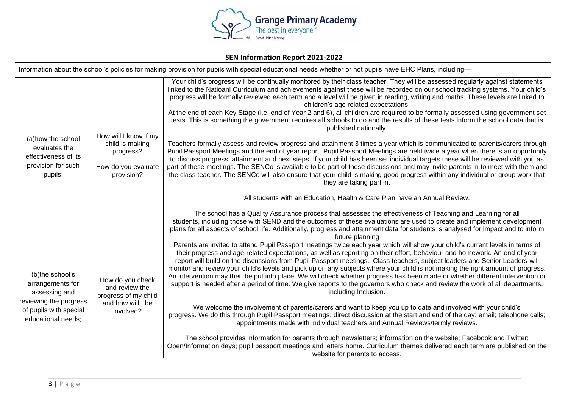

| Information about the school's policies for making provision for pupils with special educational needs whether or not pupils have EHC Plans, including— |                                                                                              |                                                                                                                                                                                                                                                                                                                                                                                                                                                                                                                                                                                                                                                                                                                                                                                                                      |
|---------------------------------------------------------------------------------------------------------------------------------------------------------|----------------------------------------------------------------------------------------------|----------------------------------------------------------------------------------------------------------------------------------------------------------------------------------------------------------------------------------------------------------------------------------------------------------------------------------------------------------------------------------------------------------------------------------------------------------------------------------------------------------------------------------------------------------------------------------------------------------------------------------------------------------------------------------------------------------------------------------------------------------------------------------------------------------------------|
| (a) how the school<br>evaluates the<br>effectiveness of its<br>provision for such<br>pupils;                                                            |                                                                                              | Your child's progress will be continually monitored by their class teacher. They will be assessed regularly against statements<br>linked to the Natioanl Curriculum and achievements against these will be recorded on our school tracking systems. Your child's<br>progress will be formally reviewed each term and a level will be given in reading, writing and maths. These levels are linked to<br>children's age related expectations.<br>At the end of each Key Stage (i.e. end of Year 2 and 6), all children are required to be formally assessed using government set<br>tests. This is something the government requires all schools to do and the results of these tests inform the school data that is<br>published nationally.                                                                         |
|                                                                                                                                                         | How will I know if my<br>child is making<br>progress?<br>How do you evaluate<br>provision?   | Teachers formally assess and review progress and attainment 3 times a year which is communicated to parents/carers through<br>Pupil Passport Meetings and the end of year report. Pupil Passport Meetings are held twice a year when there is an opportunity<br>to discuss progress, attainment and next steps. If your child has been set individual targets these will be reviewed with you as<br>part of these meetings. The SENCo is available to be part of these discussions and may invite parents in to meet with them and<br>the class teacher. The SENCo will also ensure that your child is making good progress within any individual or group work that<br>they are taking part in.                                                                                                                     |
|                                                                                                                                                         |                                                                                              | All students with an Education, Health & Care Plan have an Annual Review.                                                                                                                                                                                                                                                                                                                                                                                                                                                                                                                                                                                                                                                                                                                                            |
|                                                                                                                                                         |                                                                                              | The school has a Quality Assurance process that assesses the effectiveness of Teaching and Learning for all<br>students, including those with SEND and the outcomes of these evaluations are used to create and implement development<br>plans for all aspects of school life. Additionally, progress and attainment data for students is analysed for impact and to inform<br>future planning                                                                                                                                                                                                                                                                                                                                                                                                                       |
| (b)the school's<br>arrangements for<br>assessing and<br>reviewing the progress<br>of pupils with special<br>educational needs:                          | How do you check<br>and review the<br>progress of my child<br>and how will I be<br>involved? | Parents are invited to attend Pupil Passport meetings twice each year which will show your child's current levels in terms of<br>their progress and age-related expectations, as well as reporting on their effort, behaviour and homework. An end of year<br>report will build on the discussions from Pupil Passport meetings. Class teachers, subject leaders and Senior Leaders will<br>monitor and review your child's levels and pick up on any subjects where your child is not making the right amount of progress.<br>An intervention may then be put into place. We will check whether progress has been made or whether different intervention or<br>support is needed after a period of time. We give reports to the governors who check and review the work of all departments,<br>including Inclusion. |
|                                                                                                                                                         |                                                                                              | We welcome the involvement of parents/carers and want to keep you up to date and involved with your child's<br>progress. We do this through Pupil Passport meetings, direct discussion at the start and end of the day; email; telephone calls;<br>appointments made with individual teachers and Annual Reviews/termly reviews.                                                                                                                                                                                                                                                                                                                                                                                                                                                                                     |
|                                                                                                                                                         |                                                                                              | The school provides information for parents through newsletters; information on the website; Facebook and Twitter;<br>Open/Information days; pupil passport meetings and letters home. Curriculum themes delivered each term are published on the<br>website for parents to access.                                                                                                                                                                                                                                                                                                                                                                                                                                                                                                                                  |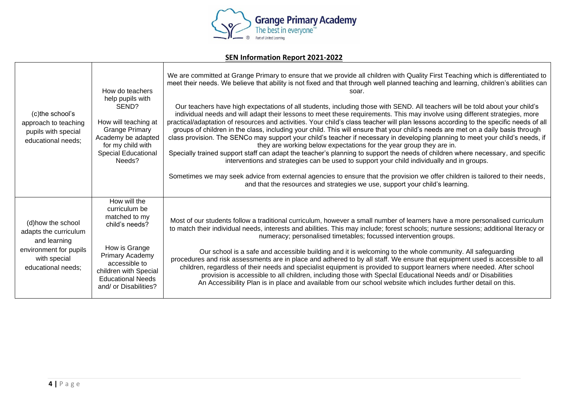

| (c)the school's<br>approach to teaching<br>pupils with special<br>educational needs;                                        | How do teachers<br>help pupils with<br>SEND?<br>How will teaching at<br><b>Grange Primary</b><br>Academy be adapted<br>for my child with<br><b>Special Educational</b><br>Needs?                    | We are committed at Grange Primary to ensure that we provide all children with Quality First Teaching which is differentiated to<br>meet their needs. We believe that ability is not fixed and that through well planned teaching and learning, children's abilities can<br>soar.<br>Our teachers have high expectations of all students, including those with SEND. All teachers will be told about your child's<br>individual needs and will adapt their lessons to meet these requirements. This may involve using different strategies, more<br>practical/adaptation of resources and activities. Your child's class teacher will plan lessons according to the specific needs of all<br>groups of children in the class, including your child. This will ensure that your child's needs are met on a daily basis through<br>class provision. The SENCo may support your child's teacher if necessary in developing planning to meet your child's needs, if<br>they are working below expectations for the year group they are in.<br>Specially trained support staff can adapt the teacher's planning to support the needs of children where necessary, and specific<br>interventions and strategies can be used to support your child individually and in groups.<br>Sometimes we may seek advice from external agencies to ensure that the provision we offer children is tailored to their needs,<br>and that the resources and strategies we use, support your child's learning. |
|-----------------------------------------------------------------------------------------------------------------------------|-----------------------------------------------------------------------------------------------------------------------------------------------------------------------------------------------------|-------------------------------------------------------------------------------------------------------------------------------------------------------------------------------------------------------------------------------------------------------------------------------------------------------------------------------------------------------------------------------------------------------------------------------------------------------------------------------------------------------------------------------------------------------------------------------------------------------------------------------------------------------------------------------------------------------------------------------------------------------------------------------------------------------------------------------------------------------------------------------------------------------------------------------------------------------------------------------------------------------------------------------------------------------------------------------------------------------------------------------------------------------------------------------------------------------------------------------------------------------------------------------------------------------------------------------------------------------------------------------------------------------------------------------------------------------------------------------------------|
| (d) how the school<br>adapts the curriculum<br>and learning<br>environment for pupils<br>with special<br>educational needs: | How will the<br>curriculum be<br>matched to my<br>child's needs?<br>How is Grange<br>Primary Academy<br>accessible to<br>children with Special<br><b>Educational Needs</b><br>and/ or Disabilities? | Most of our students follow a traditional curriculum, however a small number of learners have a more personalised curriculum<br>to match their individual needs, interests and abilities. This may include; forest schools; nurture sessions; additional literacy or<br>numeracy; personalised timetables; focussed intervention groups.<br>Our school is a safe and accessible building and it is welcoming to the whole community. All safeguarding<br>procedures and risk assessments are in place and adhered to by all staff. We ensure that equipment used is accessible to all<br>children, regardless of their needs and specialist equipment is provided to support learners where needed. After school<br>provision is accessible to all children, including those with SpecIal Educational Needs and/ or Disabilities<br>An Accessibility Plan is in place and available from our school website which includes further detail on this.                                                                                                                                                                                                                                                                                                                                                                                                                                                                                                                                        |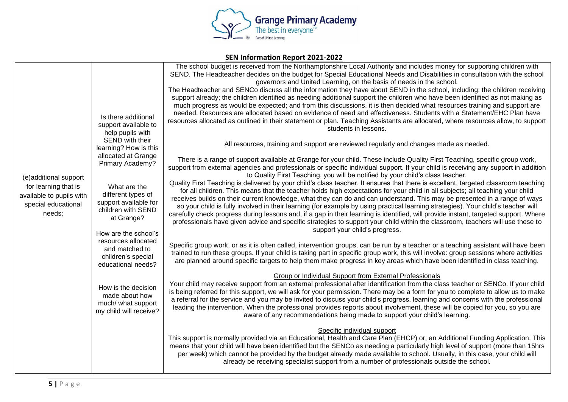

| JEN IIIIOHIIIQUUI KEPOL EUZI-ZUZZ                                                                          |                                                                                                                                                                                                                                                                                                                                                                                                                                                                 |                                                                                                                                                                                                                                                                                                                                                                                                                                                                                                                                                                                                                                                                                                                                                                                                                                                                                                                                                                                                                                                                                                                                                                                                                                                                                                                                                                                                                                                                                                                                                                                                                                                                                                                                                                                                                                                                                                                                                                                                                                                                                                                                                                                                                                                                                                                                                                                                                                                                                                                                                                                                                                                                                                                                                                                                                                                                                                                                                                                                                                                                                                                                                                                                                                                                                                                                                                                                                                                                                                                                                                                                                                                                                                                                                                                                                                                                                                                                                |  |
|------------------------------------------------------------------------------------------------------------|-----------------------------------------------------------------------------------------------------------------------------------------------------------------------------------------------------------------------------------------------------------------------------------------------------------------------------------------------------------------------------------------------------------------------------------------------------------------|------------------------------------------------------------------------------------------------------------------------------------------------------------------------------------------------------------------------------------------------------------------------------------------------------------------------------------------------------------------------------------------------------------------------------------------------------------------------------------------------------------------------------------------------------------------------------------------------------------------------------------------------------------------------------------------------------------------------------------------------------------------------------------------------------------------------------------------------------------------------------------------------------------------------------------------------------------------------------------------------------------------------------------------------------------------------------------------------------------------------------------------------------------------------------------------------------------------------------------------------------------------------------------------------------------------------------------------------------------------------------------------------------------------------------------------------------------------------------------------------------------------------------------------------------------------------------------------------------------------------------------------------------------------------------------------------------------------------------------------------------------------------------------------------------------------------------------------------------------------------------------------------------------------------------------------------------------------------------------------------------------------------------------------------------------------------------------------------------------------------------------------------------------------------------------------------------------------------------------------------------------------------------------------------------------------------------------------------------------------------------------------------------------------------------------------------------------------------------------------------------------------------------------------------------------------------------------------------------------------------------------------------------------------------------------------------------------------------------------------------------------------------------------------------------------------------------------------------------------------------------------------------------------------------------------------------------------------------------------------------------------------------------------------------------------------------------------------------------------------------------------------------------------------------------------------------------------------------------------------------------------------------------------------------------------------------------------------------------------------------------------------------------------------------------------------------------------------------------------------------------------------------------------------------------------------------------------------------------------------------------------------------------------------------------------------------------------------------------------------------------------------------------------------------------------------------------------------------------------------------------------------------------------------------------------------------|--|
| (e)additional support<br>for learning that is<br>available to pupils with<br>special educational<br>needs; | Is there additional<br>support available to<br>help pupils with<br>SEND with their<br>learning? How is this<br>allocated at Grange<br>Primary Academy?<br>What are the<br>different types of<br>support available for<br>children with SEND<br>at Grange?<br>How are the school's<br>resources allocated<br>and matched to<br>children's special<br>educational needs?<br>How is the decision<br>made about how<br>much/ what support<br>my child will receive? | The school budget is received from the Northamptonshire Local Authority and includes money for supporting children with<br>SEND. The Headteacher decides on the budget for Special Educational Needs and Disabilities in consultation with the school<br>governors and United Learning, on the basis of needs in the school.<br>The Headteacher and SENCo discuss all the information they have about SEND in the school, including: the children receiving<br>support already; the children identified as needing additional support the children who have been identified as not making as<br>much progress as would be expected; and from this discussions, it is then decided what resources training and support are<br>needed. Resources are allocated based on evidence of need and effectiveness. Students with a Statement/EHC Plan have<br>resources allocated as outlined in their statement or plan. Teaching Assistants are allocated, where resources allow, to support<br>students in lessons.<br>All resources, training and support are reviewed regularly and changes made as needed.<br>There is a range of support available at Grange for your child. These include Quality First Teaching, specific group work,<br>support from external agencies and professionals or specific individual support. If your child is receiving any support in addition<br>to Quality First Teaching, you will be notified by your child's class teacher.<br>Quality First Teaching is delivered by your child's class teacher. It ensures that there is excellent, targeted classroom teaching<br>for all children. This means that the teacher holds high expectations for your child in all subjects; all teaching your child<br>receives builds on their current knowledge, what they can do and can understand. This may be presented in a range of ways<br>so your child is fully involved in their learning (for example by using practical learning strategies). Your child's teacher will<br>carefully check progress during lessons and, if a gap in their learning is identified, will provide instant, targeted support. Where<br>professionals have given advice and specific strategies to support your child within the classroom, teachers will use these to<br>support your child's progress.<br>Specific group work, or as it is often called, intervention groups, can be run by a teacher or a teaching assistant will have been<br>trained to run these groups. If your child is taking part in specific group work, this will involve: group sessions where activities<br>are planned around specific targets to help them make progress in key areas which have been identified in class teaching.<br>Group or Individual Support from External Professionals<br>Your child may receive support from an external professional after identification from the class teacher or SENCo. If your child<br>is being referred for this support, we will ask for your permission. There may be a form for you to complete to allow us to make<br>a referral for the service and you may be invited to discuss your child's progress, learning and concerns with the professional<br>leading the intervention. When the professional provides reports about involvement, these will be copied for you, so you are<br>aware of any recommendations being made to support your child's learning.<br>Specific individual support<br>This support is normally provided via an Educational, Health and Care Plan (EHCP) or, an Additional Funding Application. This<br>means that your child will have been identified but the SENCo as needing a particularly high level of support (more than 15hrs<br>per week) which cannot be provided by the budget already made available to school. Usually, in this case, your child will<br>already be receiving specialist support from a number of professionals outside the school. |  |
|                                                                                                            |                                                                                                                                                                                                                                                                                                                                                                                                                                                                 |                                                                                                                                                                                                                                                                                                                                                                                                                                                                                                                                                                                                                                                                                                                                                                                                                                                                                                                                                                                                                                                                                                                                                                                                                                                                                                                                                                                                                                                                                                                                                                                                                                                                                                                                                                                                                                                                                                                                                                                                                                                                                                                                                                                                                                                                                                                                                                                                                                                                                                                                                                                                                                                                                                                                                                                                                                                                                                                                                                                                                                                                                                                                                                                                                                                                                                                                                                                                                                                                                                                                                                                                                                                                                                                                                                                                                                                                                                                                                |  |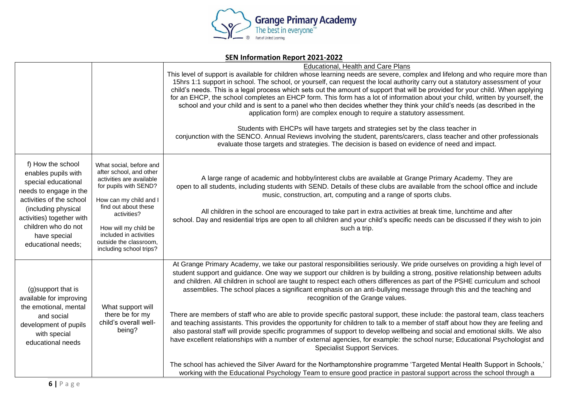

|                                                                                                                                                                                                                                        |                                                                                                                                                                                                                                                                                 | Educational, Health and Care Plans<br>This level of support is available for children whose learning needs are severe, complex and lifelong and who require more than<br>15hrs 1:1 support in school. The school, or yourself, can request the local authority carry out a statutory assessment of your<br>child's needs. This is a legal process which sets out the amount of support that will be provided for your child. When applying<br>for an EHCP, the school completes an EHCP form. This form has a lot of information about your child, written by yourself, the<br>school and your child and is sent to a panel who then decides whether they think your child's needs (as described in the<br>application form) are complex enough to require a statutory assessment.<br>Students with EHCPs will have targets and strategies set by the class teacher in<br>conjunction with the SENCO. Annual Reviews involving the student, parents/carers, class teacher and other professionals<br>evaluate those targets and strategies. The decision is based on evidence of need and impact.                                                                                                                                                                                                                                                                               |
|----------------------------------------------------------------------------------------------------------------------------------------------------------------------------------------------------------------------------------------|---------------------------------------------------------------------------------------------------------------------------------------------------------------------------------------------------------------------------------------------------------------------------------|---------------------------------------------------------------------------------------------------------------------------------------------------------------------------------------------------------------------------------------------------------------------------------------------------------------------------------------------------------------------------------------------------------------------------------------------------------------------------------------------------------------------------------------------------------------------------------------------------------------------------------------------------------------------------------------------------------------------------------------------------------------------------------------------------------------------------------------------------------------------------------------------------------------------------------------------------------------------------------------------------------------------------------------------------------------------------------------------------------------------------------------------------------------------------------------------------------------------------------------------------------------------------------------------------------------------------------------------------------------------------------|
| f) How the school<br>enables pupils with<br>special educational<br>needs to engage in the<br>activities of the school<br>(including physical<br>activities) together with<br>children who do not<br>have special<br>educational needs; | What social, before and<br>after school, and other<br>activities are available<br>for pupils with SEND?<br>How can my child and I<br>find out about these<br>activities?<br>How will my child be<br>included in activities<br>outside the classroom,<br>including school trips? | A large range of academic and hobby/interest clubs are available at Grange Primary Academy. They are<br>open to all students, including students with SEND. Details of these clubs are available from the school office and include<br>music, construction, art, computing and a range of sports clubs.<br>All children in the school are encouraged to take part in extra activities at break time, lunchtime and after<br>school. Day and residential trips are open to all children and your child's specific needs can be discussed if they wish to join<br>such a trip.                                                                                                                                                                                                                                                                                                                                                                                                                                                                                                                                                                                                                                                                                                                                                                                                    |
| (g)support that is<br>available for improving<br>the emotional, mental<br>and social<br>development of pupils<br>with special<br>educational needs                                                                                     | What support will<br>there be for my<br>child's overall well-<br>being?                                                                                                                                                                                                         | At Grange Primary Academy, we take our pastoral responsibilities seriously. We pride ourselves on providing a high level of<br>student support and guidance. One way we support our children is by building a strong, positive relationship between adults<br>and children. All children in school are taught to respect each others differences as part of the PSHE curriculum and school<br>assemblies. The school places a significant emphasis on an anti-bullying message through this and the teaching and<br>recognition of the Grange values.<br>There are members of staff who are able to provide specific pastoral support, these include: the pastoral team, class teachers<br>and teaching assistants. This provides the opportunity for children to talk to a member of staff about how they are feeling and<br>also pastoral staff will provide specific programmes of support to develop wellbeing and social and emotional skills. We also<br>have excellent relationships with a number of external agencies, for example: the school nurse; Educational Psychologist and<br>Specialist Support Services.<br>The school has achieved the Silver Award for the Northamptonshire programme 'Targeted Mental Health Support in Schools,'<br>working with the Educational Psychology Team to ensure good practice in pastoral support across the school through a |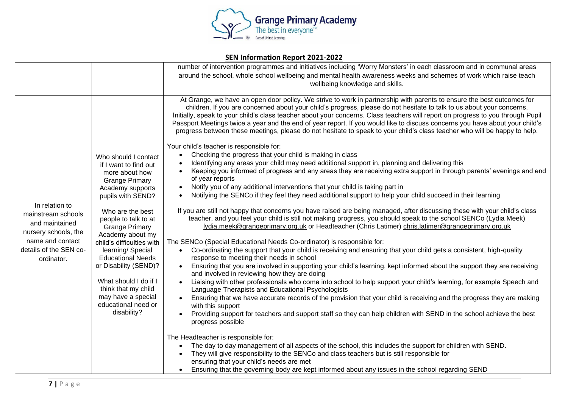

|                                                                                                                                            |                                                                                                                                                                                                                            | number of intervention programmes and initiatives including 'Worry Monsters' in each classroom and in communal areas                                                                                                                                                                                                                                                                                                                                                                                                                                                                                                                                                                                                                                                                                                                                                                                                                                                                                                                                                                                                                                                                                                                                                                                                                                                                                                                               |
|--------------------------------------------------------------------------------------------------------------------------------------------|----------------------------------------------------------------------------------------------------------------------------------------------------------------------------------------------------------------------------|----------------------------------------------------------------------------------------------------------------------------------------------------------------------------------------------------------------------------------------------------------------------------------------------------------------------------------------------------------------------------------------------------------------------------------------------------------------------------------------------------------------------------------------------------------------------------------------------------------------------------------------------------------------------------------------------------------------------------------------------------------------------------------------------------------------------------------------------------------------------------------------------------------------------------------------------------------------------------------------------------------------------------------------------------------------------------------------------------------------------------------------------------------------------------------------------------------------------------------------------------------------------------------------------------------------------------------------------------------------------------------------------------------------------------------------------------|
|                                                                                                                                            |                                                                                                                                                                                                                            | around the school, whole school wellbeing and mental health awareness weeks and schemes of work which raise teach                                                                                                                                                                                                                                                                                                                                                                                                                                                                                                                                                                                                                                                                                                                                                                                                                                                                                                                                                                                                                                                                                                                                                                                                                                                                                                                                  |
|                                                                                                                                            |                                                                                                                                                                                                                            | wellbeing knowledge and skills.                                                                                                                                                                                                                                                                                                                                                                                                                                                                                                                                                                                                                                                                                                                                                                                                                                                                                                                                                                                                                                                                                                                                                                                                                                                                                                                                                                                                                    |
|                                                                                                                                            |                                                                                                                                                                                                                            |                                                                                                                                                                                                                                                                                                                                                                                                                                                                                                                                                                                                                                                                                                                                                                                                                                                                                                                                                                                                                                                                                                                                                                                                                                                                                                                                                                                                                                                    |
| In relation to<br>mainstream schools<br>and maintained<br>nursery schools, the<br>name and contact<br>details of the SEN co-<br>ordinator. | Who should I contact<br>if I want to find out<br>more about how<br><b>Grange Primary</b><br>Academy supports<br>pupils with SEND?<br>Who are the best<br>people to talk to at<br><b>Grange Primary</b><br>Academy about my | At Grange, we have an open door policy. We strive to work in partnership with parents to ensure the best outcomes for<br>children. If you are concerned about your child's progress, please do not hesitate to talk to us about your concerns.<br>Initially, speak to your child's class teacher about your concerns. Class teachers will report on progress to you through Pupil<br>Passport Meetings twice a year and the end of year report. If you would like to discuss concerns you have about your child's<br>progress between these meetings, please do not hesitate to speak to your child's class teacher who will be happy to help.<br>Your child's teacher is responsible for:<br>Checking the progress that your child is making in class<br>Identifying any areas your child may need additional support in, planning and delivering this<br>Keeping you informed of progress and any areas they are receiving extra support in through parents' evenings and end<br>of year reports<br>Notify you of any additional interventions that your child is taking part in<br>Notifying the SENCo if they feel they need additional support to help your child succeed in their learning<br>If you are still not happy that concerns you have raised are being managed, after discussing these with your child's class<br>teacher, and you feel your child is still not making progress, you should speak to the school SENCo (Lydia Meek) |
|                                                                                                                                            |                                                                                                                                                                                                                            | lydia.meek@grangeprimary.org.uk or Headteacher (Chris Latimer) chris.latimer@grangeprimary.org.uk                                                                                                                                                                                                                                                                                                                                                                                                                                                                                                                                                                                                                                                                                                                                                                                                                                                                                                                                                                                                                                                                                                                                                                                                                                                                                                                                                  |
|                                                                                                                                            | child's difficulties with                                                                                                                                                                                                  | The SENCo (Special Educational Needs Co-ordinator) is responsible for:                                                                                                                                                                                                                                                                                                                                                                                                                                                                                                                                                                                                                                                                                                                                                                                                                                                                                                                                                                                                                                                                                                                                                                                                                                                                                                                                                                             |
|                                                                                                                                            | learning/ Special<br><b>Educational Needs</b>                                                                                                                                                                              | Co-ordinating the support that your child is receiving and ensuring that your child gets a consistent, high-quality<br>$\bullet$<br>response to meeting their needs in school                                                                                                                                                                                                                                                                                                                                                                                                                                                                                                                                                                                                                                                                                                                                                                                                                                                                                                                                                                                                                                                                                                                                                                                                                                                                      |
|                                                                                                                                            | or Disability (SEND)?                                                                                                                                                                                                      | Ensuring that you are involved in supporting your child's learning, kept informed about the support they are receiving<br>and involved in reviewing how they are doing                                                                                                                                                                                                                                                                                                                                                                                                                                                                                                                                                                                                                                                                                                                                                                                                                                                                                                                                                                                                                                                                                                                                                                                                                                                                             |
|                                                                                                                                            | What should I do if I<br>think that my child                                                                                                                                                                               | Liaising with other professionals who come into school to help support your child's learning, for example Speech and<br>Language Therapists and Educational Psychologists                                                                                                                                                                                                                                                                                                                                                                                                                                                                                                                                                                                                                                                                                                                                                                                                                                                                                                                                                                                                                                                                                                                                                                                                                                                                          |
|                                                                                                                                            | may have a special<br>educational need or<br>disability?                                                                                                                                                                   | Ensuring that we have accurate records of the provision that your child is receiving and the progress they are making<br>with this support                                                                                                                                                                                                                                                                                                                                                                                                                                                                                                                                                                                                                                                                                                                                                                                                                                                                                                                                                                                                                                                                                                                                                                                                                                                                                                         |
|                                                                                                                                            |                                                                                                                                                                                                                            | Providing support for teachers and support staff so they can help children with SEND in the school achieve the best<br>progress possible                                                                                                                                                                                                                                                                                                                                                                                                                                                                                                                                                                                                                                                                                                                                                                                                                                                                                                                                                                                                                                                                                                                                                                                                                                                                                                           |
|                                                                                                                                            |                                                                                                                                                                                                                            | The Headteacher is responsible for:                                                                                                                                                                                                                                                                                                                                                                                                                                                                                                                                                                                                                                                                                                                                                                                                                                                                                                                                                                                                                                                                                                                                                                                                                                                                                                                                                                                                                |
|                                                                                                                                            |                                                                                                                                                                                                                            | The day to day management of all aspects of the school, this includes the support for children with SEND.<br>They will give responsibility to the SENCo and class teachers but is still responsible for                                                                                                                                                                                                                                                                                                                                                                                                                                                                                                                                                                                                                                                                                                                                                                                                                                                                                                                                                                                                                                                                                                                                                                                                                                            |
|                                                                                                                                            |                                                                                                                                                                                                                            | ensuring that your child's needs are met<br>Ensuring that the governing body are kept informed about any issues in the school regarding SEND                                                                                                                                                                                                                                                                                                                                                                                                                                                                                                                                                                                                                                                                                                                                                                                                                                                                                                                                                                                                                                                                                                                                                                                                                                                                                                       |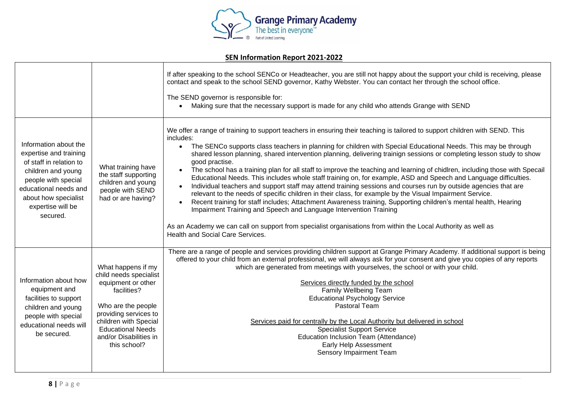

|                                                                                                                                                                                                           |                                                                                                                                                                                                                                 | If after speaking to the school SENCo or Headteacher, you are still not happy about the support your child is receiving, please<br>contact and speak to the school SEND governor, Kathy Webster. You can contact her through the school office.<br>The SEND governor is responsible for:<br>Making sure that the necessary support is made for any child who attends Grange with SEND                                                                                                                                                                                                                                                                                                                                                                                                                                                                                                                                                                                                                                                                                                                                                                                                                                                                    |
|-----------------------------------------------------------------------------------------------------------------------------------------------------------------------------------------------------------|---------------------------------------------------------------------------------------------------------------------------------------------------------------------------------------------------------------------------------|----------------------------------------------------------------------------------------------------------------------------------------------------------------------------------------------------------------------------------------------------------------------------------------------------------------------------------------------------------------------------------------------------------------------------------------------------------------------------------------------------------------------------------------------------------------------------------------------------------------------------------------------------------------------------------------------------------------------------------------------------------------------------------------------------------------------------------------------------------------------------------------------------------------------------------------------------------------------------------------------------------------------------------------------------------------------------------------------------------------------------------------------------------------------------------------------------------------------------------------------------------|
| Information about the<br>expertise and training<br>of staff in relation to<br>children and young<br>people with special<br>educational needs and<br>about how specialist<br>expertise will be<br>secured. | What training have<br>the staff supporting<br>children and young<br>people with SEND<br>had or are having?                                                                                                                      | We offer a range of training to support teachers in ensuring their teaching is tailored to support children with SEND. This<br>includes:<br>The SENCo supports class teachers in planning for children with Special Educational Needs. This may be through<br>$\bullet$<br>shared lesson planning, shared intervention planning, delivering trainign sessions or completing lesson study to show<br>good practise.<br>The school has a training plan for all staff to improve the teaching and learning of chidlren, including those with Specail<br>Educational Needs. This includes whole staff training on, for example, ASD and Speech and Language difficulties.<br>Individual teachers and support staff may attend training sessions and courses run by outside agencies that are<br>relevant to the needs of specific children in their class, for example by the Visual Impairment Service.<br>Recent training for staff includes; Attachment Awareness training, Supporting children's mental health, Hearing<br>Impairment Training and Speech and Language Intervention Training<br>As an Academy we can call on support from specialist organisations from within the Local Authority as well as<br><b>Health and Social Care Services.</b> |
| Information about how<br>equipment and<br>facilities to support<br>children and young<br>people with special<br>educational needs will<br>be secured.                                                     | What happens if my<br>child needs specialist<br>equipment or other<br>facilities?<br>Who are the people<br>providing services to<br>children with Special<br><b>Educational Needs</b><br>and/or Disabilities in<br>this school? | There are a range of people and services providing children support at Grange Primary Academy. If additional support is being<br>offered to your child from an external professional, we will always ask for your consent and give you copies of any reports<br>which are generated from meetings with yourselves, the school or with your child.<br>Services directly funded by the school<br>Family Wellbeing Team<br><b>Educational Psychology Service</b><br>Pastoral Team<br>Services paid for centrally by the Local Authority but delivered in school<br><b>Specialist Support Service</b><br>Education Inclusion Team (Attendance)<br>Early Help Assessment<br>Sensory Impairment Team                                                                                                                                                                                                                                                                                                                                                                                                                                                                                                                                                           |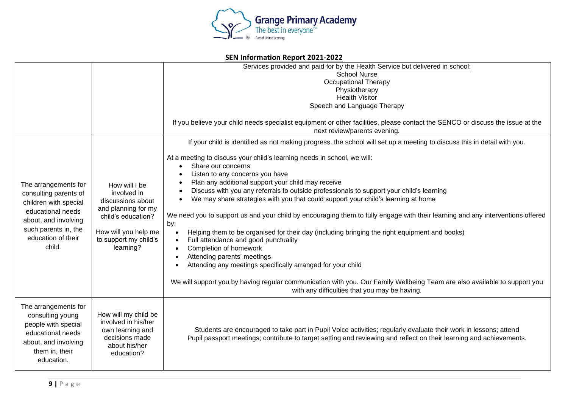

| SEN INTOFMATION REPOFT ZUZT-ZUZZ                                                                                                                                            |                                                                                                                                                              |                                                                                                                                                                                                                                                                                                                                                                                                                                                                                                                                                                                                                                                                                                                                                                                                                                                                                                                                                                                                                                                                                                                                                      |
|-----------------------------------------------------------------------------------------------------------------------------------------------------------------------------|--------------------------------------------------------------------------------------------------------------------------------------------------------------|------------------------------------------------------------------------------------------------------------------------------------------------------------------------------------------------------------------------------------------------------------------------------------------------------------------------------------------------------------------------------------------------------------------------------------------------------------------------------------------------------------------------------------------------------------------------------------------------------------------------------------------------------------------------------------------------------------------------------------------------------------------------------------------------------------------------------------------------------------------------------------------------------------------------------------------------------------------------------------------------------------------------------------------------------------------------------------------------------------------------------------------------------|
|                                                                                                                                                                             |                                                                                                                                                              | Services provided and paid for by the Health Service but delivered in school:<br><b>School Nurse</b><br><b>Occupational Therapy</b><br>Physiotherapy<br><b>Health Visitor</b><br>Speech and Language Therapy<br>If you believe your child needs specialist equipment or other facilities, please contact the SENCO or discuss the issue at the<br>next review/parents evening.                                                                                                                                                                                                                                                                                                                                                                                                                                                                                                                                                                                                                                                                                                                                                                       |
| The arrangements for<br>consulting parents of<br>children with special<br>educational needs<br>about, and involving<br>such parents in, the<br>education of their<br>child. | How will I be<br>involved in<br>discussions about<br>and planning for my<br>child's education?<br>How will you help me<br>to support my child's<br>learning? | If your child is identified as not making progress, the school will set up a meeting to discuss this in detail with you.<br>At a meeting to discuss your child's learning needs in school, we will:<br>Share our concerns<br>Listen to any concerns you have<br>Plan any additional support your child may receive<br>٠<br>Discuss with you any referrals to outside professionals to support your child's learning<br>$\bullet$<br>We may share strategies with you that could support your child's learning at home<br>$\bullet$<br>We need you to support us and your child by encouraging them to fully engage with their learning and any interventions offered<br>by:<br>Helping them to be organised for their day (including bringing the right equipment and books)<br>Full attendance and good punctuality<br>$\bullet$<br>Completion of homework<br>$\bullet$<br>Attending parents' meetings<br>Attending any meetings specifically arranged for your child<br>We will support you by having regular communication with you. Our Family Wellbeing Team are also available to support you<br>with any difficulties that you may be having. |
| The arrangements for<br>consulting young<br>people with special<br>educational needs<br>about, and involving<br>them in, their<br>education.                                | How will my child be<br>involved in his/her<br>own learning and<br>decisions made<br>about his/her<br>education?                                             | Students are encouraged to take part in Pupil Voice activities; regularly evaluate their work in lessons; attend<br>Pupil passport meetings; contribute to target setting and reviewing and reflect on their learning and achievements.                                                                                                                                                                                                                                                                                                                                                                                                                                                                                                                                                                                                                                                                                                                                                                                                                                                                                                              |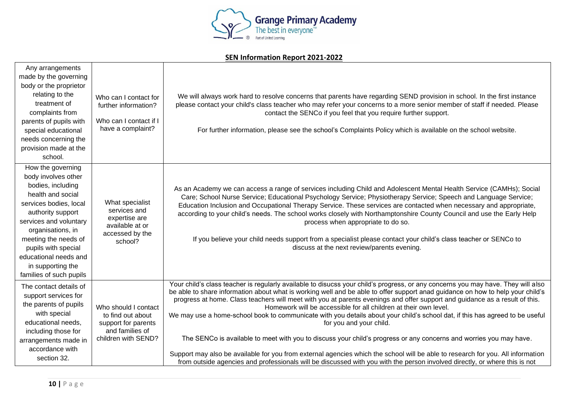

| Any arrangements        |                                    |                                                                                                                                                                                                                                                               |
|-------------------------|------------------------------------|---------------------------------------------------------------------------------------------------------------------------------------------------------------------------------------------------------------------------------------------------------------|
| made by the governing   |                                    |                                                                                                                                                                                                                                                               |
| body or the proprietor  |                                    |                                                                                                                                                                                                                                                               |
| relating to the         | Who can I contact for              | We will always work hard to resolve concerns that parents have regarding SEND provision in school. In the first instance                                                                                                                                      |
| treatment of            | further information?               | please contact your child's class teacher who may refer your concerns to a more senior member of staff if needed. Please                                                                                                                                      |
| complaints from         |                                    | contact the SENCo if you feel that you require further support.                                                                                                                                                                                               |
| parents of pupils with  | Who can I contact if I             |                                                                                                                                                                                                                                                               |
| special educational     | have a complaint?                  | For further information, please see the school's Complaints Policy which is available on the school website.                                                                                                                                                  |
| needs concerning the    |                                    |                                                                                                                                                                                                                                                               |
| provision made at the   |                                    |                                                                                                                                                                                                                                                               |
| school.                 |                                    |                                                                                                                                                                                                                                                               |
| How the governing       |                                    |                                                                                                                                                                                                                                                               |
| body involves other     |                                    |                                                                                                                                                                                                                                                               |
| bodies, including       |                                    | As an Academy we can access a range of services including Child and Adolescent Mental Health Service (CAMHs); Social                                                                                                                                          |
| health and social       |                                    | Care; School Nurse Service; Educational Psychology Service; Physiotherapy Service; Speech and Language Service;                                                                                                                                               |
| services bodies, local  | What specialist                    | Education Inclusion and Occupational Therapy Service. These services are contacted when necessary and appropriate,                                                                                                                                            |
| authority support       | services and                       | according to your child's needs. The school works closely with Northamptonshire County Council and use the Early Help                                                                                                                                         |
| services and voluntary  | expertise are                      | process when appropriate to do so.                                                                                                                                                                                                                            |
| organisations, in       | available at or<br>accessed by the |                                                                                                                                                                                                                                                               |
| meeting the needs of    | school?                            | If you believe your child needs support from a specialist please contact your child's class teacher or SENCo to                                                                                                                                               |
| pupils with special     |                                    | discuss at the next review/parents evening.                                                                                                                                                                                                                   |
| educational needs and   |                                    |                                                                                                                                                                                                                                                               |
| in supporting the       |                                    |                                                                                                                                                                                                                                                               |
| families of such pupils |                                    |                                                                                                                                                                                                                                                               |
| The contact details of  |                                    | Your child's class teacher is regularly available to disucss your child's progress, or any concerns you may have. They will also                                                                                                                              |
| support services for    |                                    | be able to share information about what is working well and be able to offer support anad guidance on how to help your child's                                                                                                                                |
| the parents of pupils   | Who should I contact               | progress at home. Class teachers will meet with you at parents evenings and offer support and guidance as a result of this.<br>Homework will be accessible for all children at their own level.                                                               |
| with special            | to find out about                  | We may use a home-school book to communicate with you details about your child's school dat, if this has agreed to be useful                                                                                                                                  |
| educational needs,      | support for parents                | for you and your child.                                                                                                                                                                                                                                       |
| including those for     | and families of                    |                                                                                                                                                                                                                                                               |
| arrangements made in    | children with SEND?                | The SENCo is available to meet with you to discuss your child's progress or any concerns and worries you may have.                                                                                                                                            |
| accordance with         |                                    |                                                                                                                                                                                                                                                               |
| section 32.             |                                    | Support may also be available for you from external agencies which the school will be able to research for you. All information<br>from outside agencies and professionals will be discussed with you with the person involved directly, or where this is not |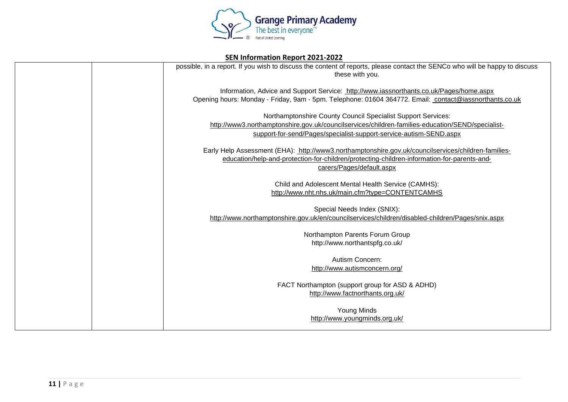

| SEN Information Report 2021-2022 |                                                                                                                                                                                                                                        |  |
|----------------------------------|----------------------------------------------------------------------------------------------------------------------------------------------------------------------------------------------------------------------------------------|--|
|                                  | possible, in a report. If you wish to discuss the content of reports, please contact the SENCo who will be happy to discuss<br>these with you.                                                                                         |  |
|                                  | Information, Advice and Support Service: http://www.iassnorthants.co.uk/Pages/home.aspx<br>Opening hours: Monday - Friday, 9am - 5pm. Telephone: 01604 364772. Email: contact@iassnorthants.co.uk                                      |  |
|                                  | Northamptonshire County Council Specialist Support Services:<br>http://www3.northamptonshire.gov.uk/councilservices/children-families-education/SEND/specialist-<br>support-for-send/Pages/specialist-support-service-autism-SEND.aspx |  |
|                                  | Early Help Assessment (EHA): http://www3.northamptonshire.gov.uk/councilservices/children-families-<br>education/help-and-protection-for-children/protecting-children-information-for-parents-and-<br>carers/Pages/default.aspx        |  |
|                                  | Child and Adolescent Mental Health Service (CAMHS):<br>http://www.nht.nhs.uk/main.cfm?type=CONTENTCAMHS                                                                                                                                |  |
|                                  | Special Needs Index (SNIX):<br>http://www.northamptonshire.gov.uk/en/councilservices/children/disabled-children/Pages/snix.aspx                                                                                                        |  |
|                                  | Northampton Parents Forum Group<br>http://www.northantspfg.co.uk/                                                                                                                                                                      |  |
|                                  | Autism Concern:<br>http://www.autismconcern.org/                                                                                                                                                                                       |  |
|                                  | FACT Northampton (support group for ASD & ADHD)<br>http://www.factnorthants.org.uk/                                                                                                                                                    |  |
|                                  | <b>Young Minds</b><br>http://www.youngminds.org.uk/                                                                                                                                                                                    |  |